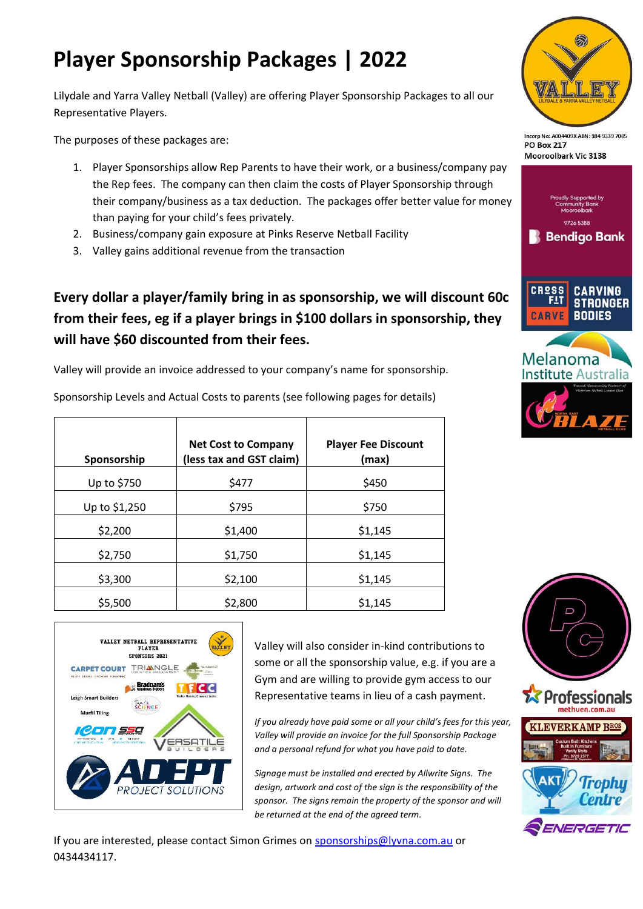# **Player Sponsorship Packages | 2022**

Lilydale and Yarra Valley Netball (Valley) are offering Player Sponsorship Packages to all our Representative Players.

The purposes of these packages are:

- 1. Player Sponsorships allow Rep Parents to have their work, or a business/company pay the Rep fees. The company can then claim the costs of Player Sponsorship through their company/business as a tax deduction. The packages offer better value for money than paying for your child's fees privately.
- 2. Business/company gain exposure at Pinks Reserve Netball Facility
- 3. Valley gains additional revenue from the transaction

## **Every dollar a player/family bring in as sponsorship, we will discount 60c from their fees, eg if a player brings in \$100 dollars in sponsorship, they will have \$60 discounted from their fees.**

Valley will provide an invoice addressed to your company's name for sponsorship.

Sponsorship Levels and Actual Costs to parents (see following pages for details)

| Sponsorship   | <b>Net Cost to Company</b><br>(less tax and GST claim) | <b>Player Fee Discount</b><br>(max) |
|---------------|--------------------------------------------------------|-------------------------------------|
| Up to \$750   | \$477                                                  | \$450                               |
| Up to \$1,250 | \$795                                                  | \$750                               |
| \$2,200       | \$1,400                                                | \$1,145                             |
| \$2,750       | \$1,750                                                | \$1,145                             |
| \$3,300       | \$2,100                                                | \$1,145                             |
| \$5,500       | \$2,800                                                | \$1,145                             |



Valley will also consider in-kind contributions to some or all the sponsorship value, e.g. if you are a Gym and are willing to provide gym access to our Representative teams in lieu of a cash payment.

*If you already have paid some or all your child's fees for this year, Valley will provide an invoice for the full Sponsorship Package and a personal refund for what you have paid to date.* 

*Signage must be installed and erected by Allwrite Signs. The design, artwork and cost of the sign is the responsibility of the sponsor. The signs remain the property of the sponsor and will be returned at the end of the agreed term.*

If you are interested, please contact Simon Grimes on [sponsorships@lyvna.com.au](mailto:sponsorships@lyvna.com.au) or 0434434117.



Incorp No: A004409X ABN: 184 9339 7089 **PO Box 217** Mooroolbark Vic 3138



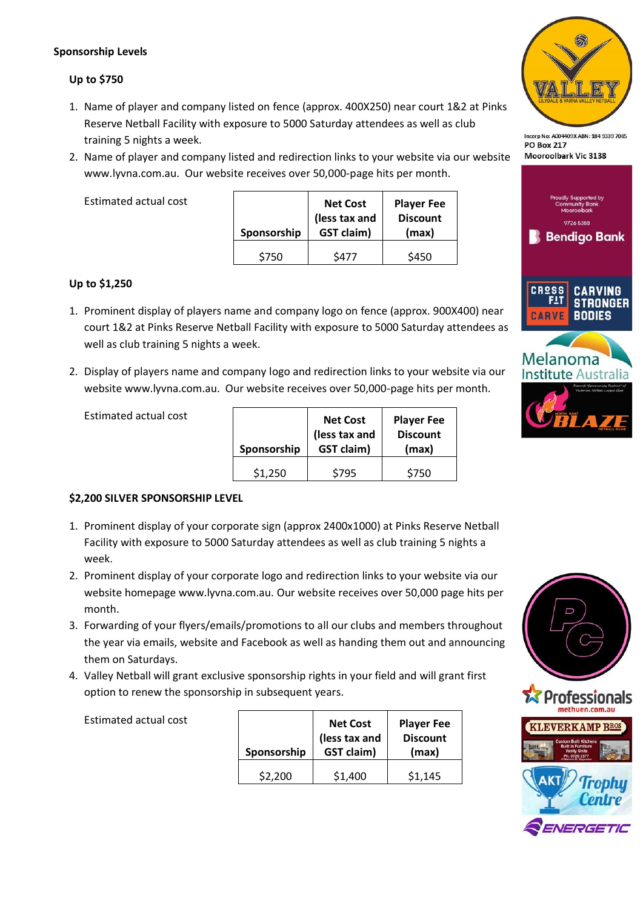#### **Sponsorship Levels**

#### **Up to \$750**

- 1. Name of player and company listed on fence (approx. 400X250) near court 1&2 at Pinks Reserve Netball Facility with exposure to 5000 Saturday attendees as well as club training 5 nights a week.
- 2. Name of player and company listed and redirection links to your website via our website www.lyvna.com.au. Our website receives over 50,000-page hits per month.

Estimated actual cost

| Sponsorship | <b>Net Cost</b><br>(less tax and<br><b>GST claim)</b> | <b>Player Fee</b><br><b>Discount</b><br>(max) |
|-------------|-------------------------------------------------------|-----------------------------------------------|
| \$750       | S477                                                  | \$450                                         |

#### **Up to \$1,250**

- 1. Prominent display of players name and company logo on fence (approx. 900X400) near court 1&2 at Pinks Reserve Netball Facility with exposure to 5000 Saturday attendees as well as club training 5 nights a week.
- 2. Display of players name and company logo and redirection links to your website via our website www.lyvna.com.au. Our website receives over 50,000-page hits per month.

| Sponsorship | <b>Net Cost</b><br>(less tax and<br><b>GST claim)</b> | <b>Player Fee</b><br><b>Discount</b><br>(max) |
|-------------|-------------------------------------------------------|-----------------------------------------------|
| \$1,250     | \$795                                                 | \$750                                         |

### **\$2,200 SILVER SPONSORSHIP LEVEL**

Estimated actual cost

Estimated actual cost

- 1. Prominent display of your corporate sign (approx 2400x1000) at Pinks Reserve Netball Facility with exposure to 5000 Saturday attendees as well as club training 5 nights a week.
- 2. Prominent display of your corporate logo and redirection links to your website via our website homepage www.lyvna.com.au. Our website receives over 50,000 page hits per month.
- 3. Forwarding of your flyers/emails/promotions to all our clubs and members throughout the year via emails, website and Facebook as well as handing them out and announcing them on Saturdays.
- 4. Valley Netball will grant exclusive sponsorship rights in your field and will grant first option to renew the sponsorship in subsequent years.

| Sponsorship | <b>Net Cost</b><br>(less tax and<br><b>GST claim)</b> | <b>Player Fee</b><br><b>Discount</b><br>(max) |
|-------------|-------------------------------------------------------|-----------------------------------------------|
| \$2.200     | \$1,400                                               | \$1,145                                       |



Incorp No: A004409X ABN: 184 9339 7089 **PO Box 217** Mooroolbark Vic 3138





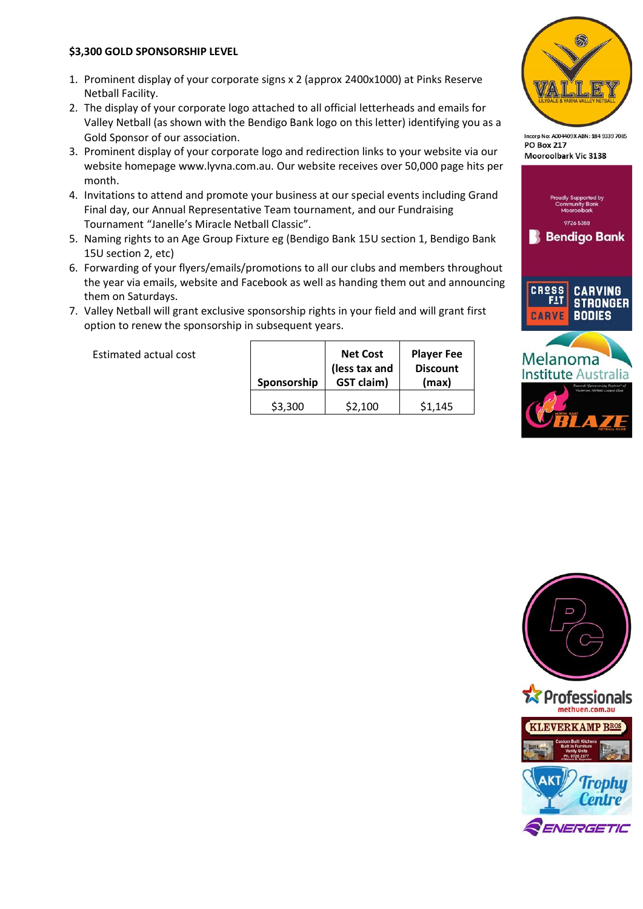#### **\$3,300 GOLD SPONSORSHIP LEVEL**

- 1. Prominent display of your corporate signs x 2 (approx 2400x1000) at Pinks Reserve Netball Facility.
- 2. The display of your corporate logo attached to all official letterheads and emails for Valley Netball (as shown with the Bendigo Bank logo on this letter) identifying you as a Gold Sponsor of our association.
- 3. Prominent display of your corporate logo and redirection links to your website via our website homepage www.lyvna.com.au. Our website receives over 50,000 page hits per month.
- 4. Invitations to attend and promote your business at our special events including Grand Final day, our Annual Representative Team tournament, and our Fundraising Tournament "Janelle's Miracle Netball Classic".
- 5. Naming rights to an Age Group Fixture eg (Bendigo Bank 15U section 1, Bendigo Bank 15U section 2, etc)
- 6. Forwarding of your flyers/emails/promotions to all our clubs and members throughout the year via emails, website and Facebook as well as handing them out and announcing them on Saturdays.
- 7. Valley Netball will grant exclusive sponsorship rights in your field and will grant first option to renew the sponsorship in subsequent years.

Estimated actual cost

| Sponsorship | <b>Net Cost</b><br>(less tax and<br><b>GST claim)</b> | <b>Player Fee</b><br><b>Discount</b><br>(max) |
|-------------|-------------------------------------------------------|-----------------------------------------------|
| \$3,300     | \$2,100                                               | \$1,145                                       |



Incorp No: A004409X ABN: 184 9339 7085 **PO Box 217** Mooroolbark Vic 3138